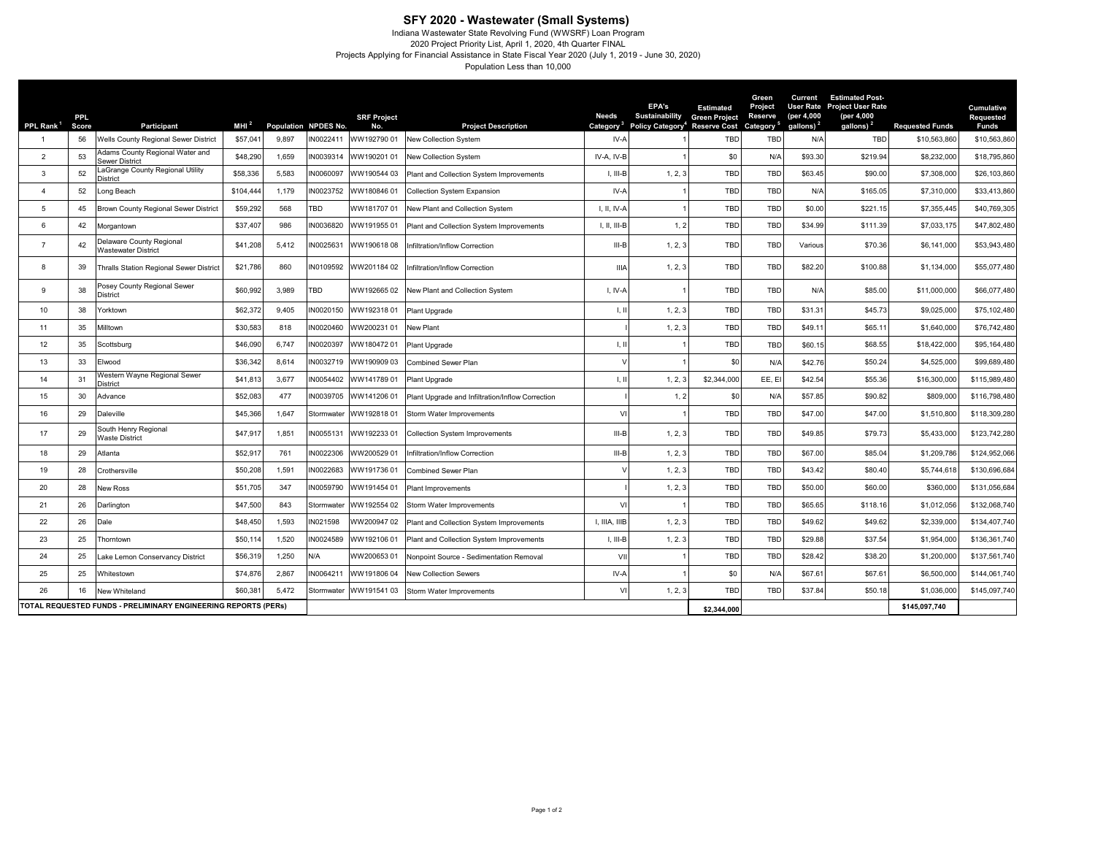**SFY 2020 - Wastewater (Small Systems)**<br>Indiana Wastewater State Revolving Fund (WWSRF) Loan Program<br>2020 Project Priority List, April 1, 2020, 4th Quarter FINAL<br>Projects Applying for Financial Assistance in State Fiscal Y Population Less than 10,000

| PPL Rank <sup>1</sup>                                          | <b>PPL</b><br>Score | Participant                                                                                                                              | MHI $^2$  |             | Population NPDES No. | <b>SRF Project</b><br>No.                                      | <b>Project Description</b>               | <b>Needs</b><br>Category <sup>3</sup> | EPA's<br>Sustainability<br>Policy Category <sup>4</sup> | <b>Estimated</b><br><b>Green Project</b><br><b>Reserve Cost</b> | Green<br><b>Project</b><br>Reserve<br>Category <sup>5</sup> | Current<br>(per 4,000<br>gallons) $2$ | <b>Estimated Post-</b><br>User Rate Project User Rate<br>(per 4,000<br>gallons) $2$ | <b>Requested Funds</b> | Cumulative<br><b>Requested</b><br><b>Funds</b> |
|----------------------------------------------------------------|---------------------|------------------------------------------------------------------------------------------------------------------------------------------|-----------|-------------|----------------------|----------------------------------------------------------------|------------------------------------------|---------------------------------------|---------------------------------------------------------|-----------------------------------------------------------------|-------------------------------------------------------------|---------------------------------------|-------------------------------------------------------------------------------------|------------------------|------------------------------------------------|
|                                                                | 56                  | Wells County Regional Sewer District                                                                                                     | \$57,041  | 9,897       | IN0022411            | WW19279001                                                     | New Collection System                    | IV-A                                  |                                                         | TBD                                                             | TBD                                                         | N/A                                   | TBD                                                                                 | \$10,563,860           | \$10,563,860                                   |
| $\overline{2}$                                                 | 53                  | Adams County Regional Water and<br><b>Sewer District</b>                                                                                 | \$48,290  | 1,659       | IN0039314            | WW190201 01                                                    | New Collection System                    | IV-A, IV-B                            |                                                         | \$0                                                             | $N/\ell$                                                    | \$93.30                               | \$219.94                                                                            | \$8,232,000            | \$18,795,860                                   |
| 3                                                              | 52                  | LaGrange County Regional Utility<br><b>District</b>                                                                                      | \$58,336  | 5.583       | IN0060097            | WW190544 03                                                    | Plant and Collection System Improvements | $I. III-B$                            | 1, 2, 3                                                 | <b>TBD</b>                                                      | TBD                                                         | \$63.45                               | \$90.00                                                                             | \$7,308,000            | \$26,103,860                                   |
| 4                                                              | 52                  | Long Beach                                                                                                                               | \$104,444 | 1,179       | IN0023752            | WW18084601                                                     | <b>Collection System Expansion</b>       | IV-A                                  |                                                         | TBD                                                             | TBD                                                         | N/A                                   | \$165.05                                                                            | \$7,310,000            | \$33,413,860                                   |
| 5                                                              | 45                  | Brown County Regional Sewer District                                                                                                     | \$59,292  | 568         | TBD                  | WW18170701                                                     | New Plant and Collection System          | I, II, IV-A                           |                                                         | TBD                                                             | TBD                                                         | \$0.00                                | \$221.15                                                                            | \$7,355,445            | \$40,769,305                                   |
| 6                                                              | 42                  | Morgantown                                                                                                                               | \$37,407  | 986         | IN0036820            | WW19195501                                                     | Plant and Collection System Improvements | I, II, III-B                          | 1, 2                                                    | <b>TBD</b>                                                      | TBD                                                         | \$34.99                               | \$111.39                                                                            | \$7,033,175            | \$47,802,480                                   |
|                                                                | 42                  | Delaware County Regional<br>\$41,208<br>5,412<br>IN0025631<br>WW19061808<br>Infiltration/Inflow Correction<br><b>Wastewater District</b> |           | III-B       | 1, 2, 3              | TBD                                                            | <b>TBD</b>                               | Various                               | \$70.36                                                 | \$6,141,000                                                     | \$53,943,480                                                |                                       |                                                                                     |                        |                                                |
| 8                                                              | 39                  | 860<br>\$21,786<br>IN0109592<br><b>Thralls Station Regional Sewer District</b><br>WW20118402<br>nfiltration/Inflow Correction            |           | <b>IIIA</b> | 1, 2, 3              | TBD                                                            | <b>TBD</b>                               | \$82.20                               | \$100.88                                                | \$1,134,000                                                     | \$55,077,480                                                |                                       |                                                                                     |                        |                                                |
| 9                                                              | 38                  | Posey County Regional Sewer<br>3,989<br>TBD<br>\$60,992<br>WW19266502<br>New Plant and Collection System<br><b>District</b>              |           | I. IV-A     |                      | TBD                                                            | TBD                                      | N/A                                   | \$85.00                                                 | \$11,000,000                                                    | \$66,077,480                                                |                                       |                                                                                     |                        |                                                |
| 10                                                             | 38                  | Yorktown                                                                                                                                 | \$62,372  | 9,405       | IN0020150            | WW19231801                                                     | Plant Upgrade                            | I, II                                 | 1, 2, 3                                                 | TBD                                                             | TBD                                                         | \$31.31                               | \$45.73                                                                             | \$9,025,000            | \$75,102,480                                   |
| 11                                                             | 35                  | Milltown                                                                                                                                 | \$30,583  | 818         | IN0020460            | WW200231 01                                                    | New Plant                                |                                       | 1, 2, 3                                                 | TBD                                                             | TBD                                                         | \$49.11                               | \$65.11                                                                             | \$1,640,000            | \$76,742,480                                   |
| 12                                                             | 35                  | Scottsburg                                                                                                                               | \$46,090  | 6,747       | IN0020397            | WW18047201                                                     | Plant Upgrade                            | I, II                                 |                                                         | TBD                                                             | TBD                                                         | \$60.15                               | \$68.55                                                                             | \$18,422,000           | \$95,164,480                                   |
| 13                                                             | 33                  | Elwood                                                                                                                                   | \$36,342  | 8,614       | IN0032719            | WW19090903                                                     | <b>Combined Sewer Plan</b>               |                                       |                                                         | \$0                                                             | N/f                                                         | \$42.76                               | \$50.24                                                                             | \$4,525,000            | \$99,689,480                                   |
| 14                                                             | 31                  | Western Wayne Regional Sewer<br>District                                                                                                 | \$41,813  | 3,677       | IN0054402            | WW14178901                                                     | Plant Upgrade                            | 1.11                                  | 1, 2, 3                                                 | \$2,344,000                                                     | EE, EI                                                      | \$42.54                               | \$55.36                                                                             | \$16,300,000           | \$115,989,480                                  |
| 15                                                             | 30                  | Advance                                                                                                                                  | \$52,083  | 477         | IN0039705            | WW14120601<br>Plant Upgrade and Infiltration/Inflow Correction |                                          |                                       | 1, 2                                                    | \$0                                                             | $N/\ell$                                                    | \$57.85                               | \$90.82                                                                             | \$809,000              | \$116,798,480                                  |
| 16                                                             | 29                  | Daleville                                                                                                                                | \$45,366  | 1,647       | Stormwater           | WW19281801                                                     | Storm Water Improvements                 |                                       | VI                                                      | <b>TBD</b>                                                      | TBD                                                         | \$47.00                               | \$47.00                                                                             | \$1,510,800            | \$118,309,280                                  |
| 17                                                             | 29                  | South Henry Regional<br>1,851<br>\$47,917<br>IN0055131<br>WW19223301<br><b>Collection System Improvements</b><br><b>Waste District</b>   |           | $III-B$     | 1, 2, 3              | TBD                                                            | TBD                                      | \$49.85                               | \$79.73                                                 | \$5,433,000                                                     | \$123,742,280                                               |                                       |                                                                                     |                        |                                                |
| 18                                                             | 29                  | Atlanta                                                                                                                                  | \$52,917  | 761         | IN0022306            | WW200529 01                                                    | Infiltration/Inflow Correction           | $III-B$                               | 1, 2, 3                                                 | TBD                                                             | TBD                                                         | \$67.00                               | \$85.04                                                                             | \$1,209,786            | \$124,952,066                                  |
| 19                                                             | 28                  | Crothersville                                                                                                                            | \$50,208  | 1,591       | IN0022683            | WW19173601                                                     | <b>Combined Sewer Plan</b>               |                                       | 1, 2, 3                                                 | TBD                                                             | TBD                                                         | \$43.42                               | \$80.40                                                                             | \$5,744,618            | \$130,696,684                                  |
| 20                                                             | 28                  | New Ross                                                                                                                                 | \$51,705  | 347         | IN0059790            | WW191454 01                                                    | Plant Improvements                       |                                       | 1, 2, 3                                                 | TBD                                                             | TBD                                                         | \$50.00                               | \$60.00                                                                             | \$360,000              | \$131,056,684                                  |
| 21                                                             | 26                  | Darlington                                                                                                                               | \$47,500  | 843         | Stormwater           | WW192554 02                                                    | Storm Water Improvements                 | VI                                    |                                                         | <b>TBD</b>                                                      | TBD                                                         | \$65.65                               | \$118.16                                                                            | \$1,012,056            | \$132,068,740                                  |
| 22                                                             | 26                  | Dale                                                                                                                                     | \$48,450  | 1,593       | IN021598             | WW20094702                                                     | Plant and Collection System Improvements | I, IIIA, IIIB                         | 1, 2, 3                                                 | TBD                                                             | TBD                                                         | \$49.62                               | \$49.62                                                                             | \$2,339,000            | \$134,407,740                                  |
| 23                                                             | 25                  | Thorntown                                                                                                                                | \$50,114  | 1,520       | IN0024589            | WW19210601                                                     | Plant and Collection System Improvements | I, III-B                              | 1, 2.3                                                  | TBD                                                             | TBD                                                         | \$29.88                               | \$37.54                                                                             | \$1,954,000            | \$136,361,740                                  |
| 24                                                             | 25                  | Lake Lemon Conservancy District                                                                                                          | \$56,319  | 1,250       | N/A                  | WW20065301                                                     | Nonpoint Source - Sedimentation Removal  | VII                                   |                                                         | TBD                                                             | TBD                                                         | \$28.42                               | \$38.20                                                                             | \$1,200,000            | \$137,561,740                                  |
| 25                                                             | 25                  | Whitestown                                                                                                                               | \$74,876  | 2,867       | IN0064211            | WW19180604                                                     | New Collection Sewers                    | IV-A                                  |                                                         | \$0                                                             | N/A                                                         | \$67.61                               | \$67.61                                                                             | \$6,500,000            | \$144,061,740                                  |
| 26                                                             | 16                  | VI<br>5.472<br>\$60,381<br>WW19154103<br>New Whiteland<br>Stormwater<br>Storm Water Improvements                                         |           | 1, 2, 3     | <b>TBD</b>           | <b>TBD</b>                                                     | \$37.84                                  | \$50.18                               | \$1,036,000                                             | \$145,097,740                                                   |                                                             |                                       |                                                                                     |                        |                                                |
| TOTAL REQUESTED FUNDS - PRELIMINARY ENGINEERING REPORTS (PERS) |                     |                                                                                                                                          |           |             |                      |                                                                |                                          |                                       |                                                         | \$2,344,000                                                     |                                                             |                                       |                                                                                     | \$145.097.740          |                                                |